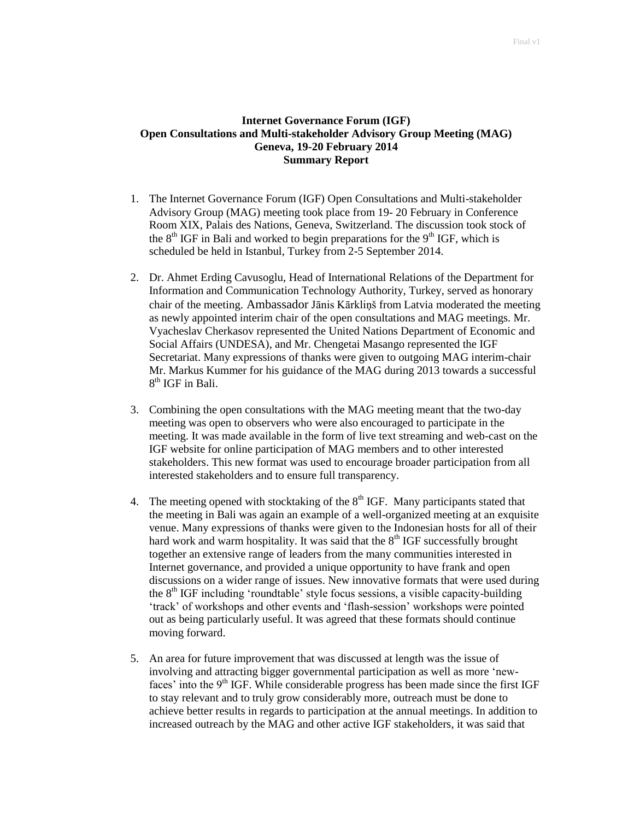## **Internet Governance Forum (IGF) Open Consultations and Multi-stakeholder Advisory Group Meeting (MAG) Geneva, 19-20 February 2014 Summary Report**

- 1. The Internet Governance Forum (IGF) Open Consultations and Multi-stakeholder Advisory Group (MAG) meeting took place from 19- 20 February in Conference Room XIX, Palais des Nations, Geneva, Switzerland. The discussion took stock of the  $8<sup>th</sup> IGF$  in Bali and worked to begin preparations for the  $9<sup>th</sup> IGF$ , which is scheduled be held in Istanbul, Turkey from 2-5 September 2014.
- 2. Dr. Ahmet Erding Cavusoglu, Head of International Relations of the Department for Information and Communication Technology Authority, Turkey, served as honorary chair of the meeting. Ambassador Jānis Kārkliņš from Latvia moderated the meeting as newly appointed interim chair of the open consultations and MAG meetings. Mr. Vyacheslav Cherkasov represented the United Nations Department of Economic and Social Affairs (UNDESA), and Mr. Chengetai Masango represented the IGF Secretariat. Many expressions of thanks were given to outgoing MAG interim-chair Mr. Markus Kummer for his guidance of the MAG during 2013 towards a successful 8<sup>th</sup> IGF in Bali.
- 3. Combining the open consultations with the MAG meeting meant that the two-day meeting was open to observers who were also encouraged to participate in the meeting. It was made available in the form of live text streaming and web-cast on the IGF website for online participation of MAG members and to other interested stakeholders. This new format was used to encourage broader participation from all interested stakeholders and to ensure full transparency.
- 4. The meeting opened with stocktaking of the  $8<sup>th</sup> IGF$ . Many participants stated that the meeting in Bali was again an example of a well-organized meeting at an exquisite venue. Many expressions of thanks were given to the Indonesian hosts for all of their hard work and warm hospitality. It was said that the  $8<sup>th</sup> IGF$  successfully brought together an extensive range of leaders from the many communities interested in Internet governance, and provided a unique opportunity to have frank and open discussions on a wider range of issues. New innovative formats that were used during the 8<sup>th</sup> IGF including 'roundtable' style focus sessions, a visible capacity-building "track" of workshops and other events and "flash-session" workshops were pointed out as being particularly useful. It was agreed that these formats should continue moving forward.
- 5. An area for future improvement that was discussed at length was the issue of involving and attracting bigger governmental participation as well as more "newfaces' into the  $9<sup>th</sup>$  IGF. While considerable progress has been made since the first IGF to stay relevant and to truly grow considerably more, outreach must be done to achieve better results in regards to participation at the annual meetings. In addition to increased outreach by the MAG and other active IGF stakeholders, it was said that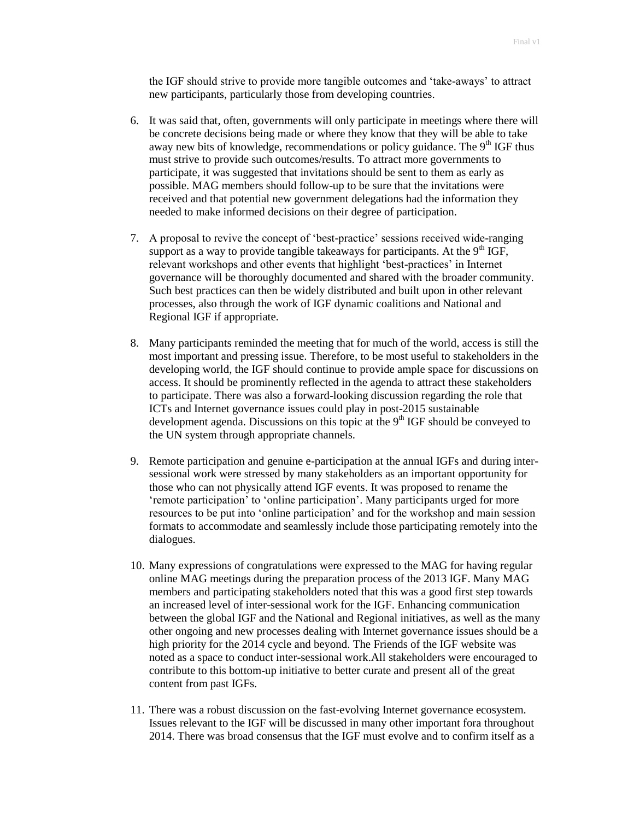the IGF should strive to provide more tangible outcomes and "take-aways" to attract new participants, particularly those from developing countries.

- 6. It was said that, often, governments will only participate in meetings where there will be concrete decisions being made or where they know that they will be able to take away new bits of knowledge, recommendations or policy guidance. The  $9<sup>th</sup> IGF$  thus must strive to provide such outcomes/results. To attract more governments to participate, it was suggested that invitations should be sent to them as early as possible. MAG members should follow-up to be sure that the invitations were received and that potential new government delegations had the information they needed to make informed decisions on their degree of participation.
- 7. A proposal to revive the concept of "best-practice" sessions received wide-ranging support as a way to provide tangible takeaways for participants. At the  $9<sup>th</sup> IGF$ , relevant workshops and other events that highlight 'best-practices' in Internet governance will be thoroughly documented and shared with the broader community. Such best practices can then be widely distributed and built upon in other relevant processes, also through the work of IGF dynamic coalitions and National and Regional IGF if appropriate.
- 8. Many participants reminded the meeting that for much of the world, access is still the most important and pressing issue. Therefore, to be most useful to stakeholders in the developing world, the IGF should continue to provide ample space for discussions on access. It should be prominently reflected in the agenda to attract these stakeholders to participate. There was also a forward-looking discussion regarding the role that ICTs and Internet governance issues could play in post-2015 sustainable development agenda. Discussions on this topic at the  $9<sup>th</sup> IGF$  should be conveyed to the UN system through appropriate channels.
- 9. Remote participation and genuine e-participation at the annual IGFs and during intersessional work were stressed by many stakeholders as an important opportunity for those who can not physically attend IGF events. It was proposed to rename the 'remote participation' to 'online participation'. Many participants urged for more resources to be put into "online participation" and for the workshop and main session formats to accommodate and seamlessly include those participating remotely into the dialogues.
- 10. Many expressions of congratulations were expressed to the MAG for having regular online MAG meetings during the preparation process of the 2013 IGF. Many MAG members and participating stakeholders noted that this was a good first step towards an increased level of inter-sessional work for the IGF. Enhancing communication between the global IGF and the National and Regional initiatives, as well as the many other ongoing and new processes dealing with Internet governance issues should be a high priority for the 2014 cycle and beyond. The Friends of the IGF website was noted as a space to conduct inter-sessional work.All stakeholders were encouraged to contribute to this bottom-up initiative to better curate and present all of the great content from past IGFs.
- 11. There was a robust discussion on the fast-evolving Internet governance ecosystem. Issues relevant to the IGF will be discussed in many other important fora throughout 2014. There was broad consensus that the IGF must evolve and to confirm itself as a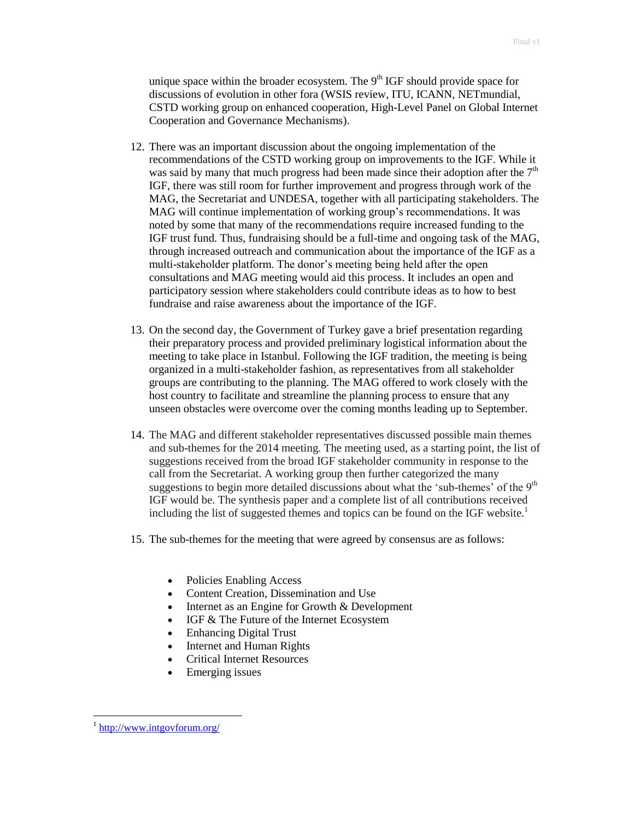unique space within the broader ecosystem. The  $9<sup>th</sup> IGF$  should provide space for discussions of evolution in other fora (WSIS review, ITU, ICANN, NETmundial, CSTD working group on enhanced cooperation, High-Level Panel on Global Internet Cooperation and Governance Mechanisms).

- 12. There was an important discussion about the ongoing implementation of the recommendations of the CSTD working group on improvements to the IGF. While it was said by many that much progress had been made since their adoption after the  $7<sup>th</sup>$ IGF, there was still room for further improvement and progress through work of the MAG, the Secretariat and UNDESA, together with all participating stakeholders. The MAG will continue implementation of working group"s recommendations. It was noted by some that many of the recommendations require increased funding to the IGF trust fund. Thus, fundraising should be a full-time and ongoing task of the MAG, through increased outreach and communication about the importance of the IGF as a multi-stakeholder platform. The donor's meeting being held after the open consultations and MAG meeting would aid this process. It includes an open and participatory session where stakeholders could contribute ideas as to how to best fundraise and raise awareness about the importance of the IGF.
- 13. On the second day, the Government of Turkey gave a brief presentation regarding their preparatory process and provided preliminary logistical information about the meeting to take place in Istanbul. Following the IGF tradition, the meeting is being organized in a multi-stakeholder fashion, as representatives from all stakeholder groups are contributing to the planning. The MAG offered to work closely with the host country to facilitate and streamline the planning process to ensure that any unseen obstacles were overcome over the coming months leading up to September.
- 14. The MAG and different stakeholder representatives discussed possible main themes and sub-themes for the 2014 meeting. The meeting used, as a starting point, the list of suggestions received from the broad IGF stakeholder community in response to the call from the Secretariat. A working group then further categorized the many suggestions to begin more detailed discussions about what the 'sub-themes' of the  $9<sup>th</sup>$ IGF would be. The synthesis paper and a complete list of all contributions received including the list of suggested themes and topics can be found on the IGF website.<sup>1</sup>
- 15. The sub-themes for the meeting that were agreed by consensus are as follows:
	- Policies Enabling Access
	- Content Creation, Dissemination and Use
	- Internet as an Engine for Growth & Development
	- IGF & The Future of the Internet Ecosystem
	- Enhancing Digital Trust
	- Internet and Human Rights
	- Critical Internet Resources
	- Emerging issues

 $\overline{a}$ 

<sup>&</sup>lt;sup>1</sup> <http://www.intgovforum.org/>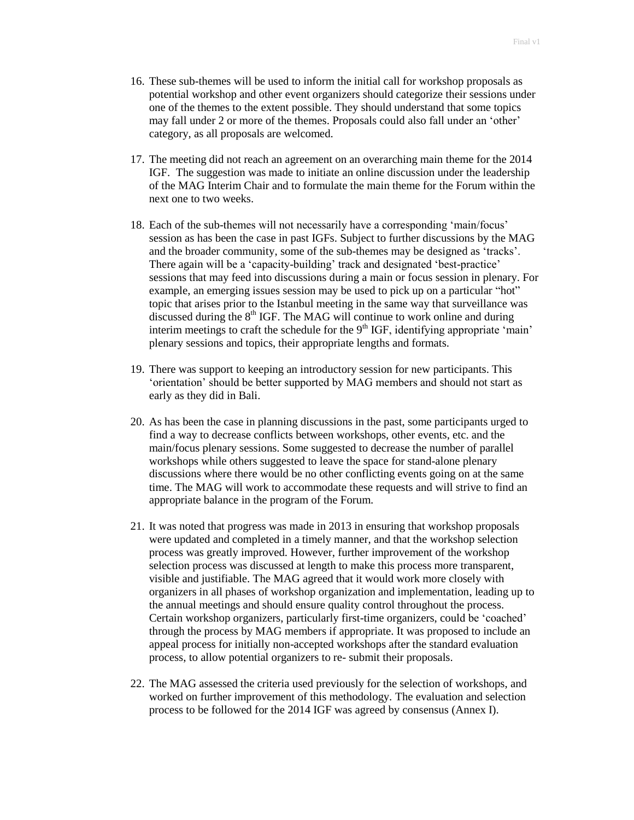- 16. These sub-themes will be used to inform the initial call for workshop proposals as potential workshop and other event organizers should categorize their sessions under one of the themes to the extent possible. They should understand that some topics may fall under 2 or more of the themes. Proposals could also fall under an "other" category, as all proposals are welcomed.
- 17. The meeting did not reach an agreement on an overarching main theme for the 2014 IGF. The suggestion was made to initiate an online discussion under the leadership of the MAG Interim Chair and to formulate the main theme for the Forum within the next one to two weeks.
- 18. Each of the sub-themes will not necessarily have a corresponding "main/focus" session as has been the case in past IGFs. Subject to further discussions by the MAG and the broader community, some of the sub-themes may be designed as "tracks". There again will be a 'capacity-building' track and designated 'best-practice' sessions that may feed into discussions during a main or focus session in plenary. For example, an emerging issues session may be used to pick up on a particular "hot" topic that arises prior to the Istanbul meeting in the same way that surveillance was discussed during the  $8<sup>th</sup> IGF$ . The MAG will continue to work online and during interim meetings to craft the schedule for the  $9<sup>th</sup> IGF$ , identifying appropriate 'main' plenary sessions and topics, their appropriate lengths and formats.
- 19. There was support to keeping an introductory session for new participants. This "orientation" should be better supported by MAG members and should not start as early as they did in Bali.
- 20. As has been the case in planning discussions in the past, some participants urged to find a way to decrease conflicts between workshops, other events, etc. and the main/focus plenary sessions. Some suggested to decrease the number of parallel workshops while others suggested to leave the space for stand-alone plenary discussions where there would be no other conflicting events going on at the same time. The MAG will work to accommodate these requests and will strive to find an appropriate balance in the program of the Forum.
- 21. It was noted that progress was made in 2013 in ensuring that workshop proposals were updated and completed in a timely manner, and that the workshop selection process was greatly improved. However, further improvement of the workshop selection process was discussed at length to make this process more transparent, visible and justifiable. The MAG agreed that it would work more closely with organizers in all phases of workshop organization and implementation, leading up to the annual meetings and should ensure quality control throughout the process. Certain workshop organizers, particularly first-time organizers, could be "coached" through the process by MAG members if appropriate. It was proposed to include an appeal process for initially non-accepted workshops after the standard evaluation process, to allow potential organizers to re- submit their proposals.
- 22. The MAG assessed the criteria used previously for the selection of workshops, and worked on further improvement of this methodology. The evaluation and selection process to be followed for the 2014 IGF was agreed by consensus (Annex I).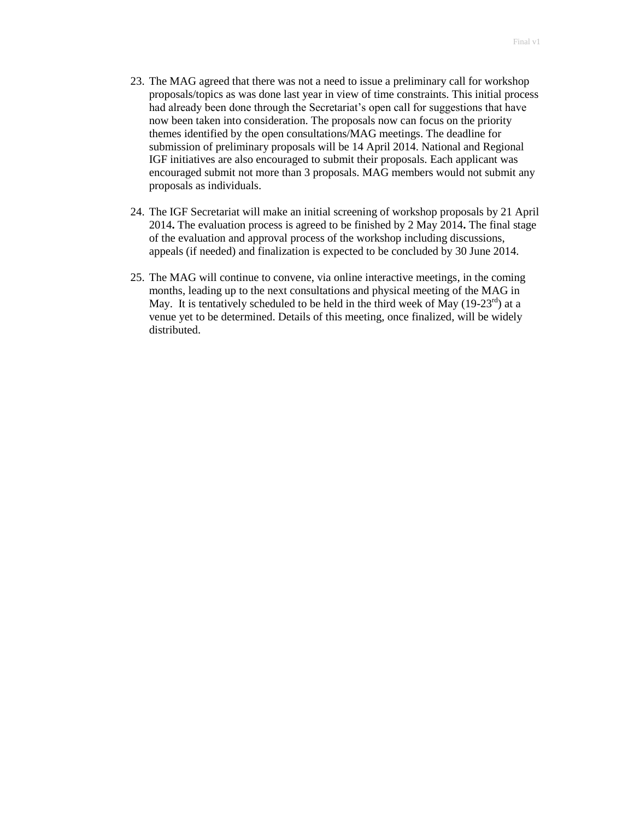- 23. The MAG agreed that there was not a need to issue a preliminary call for workshop proposals/topics as was done last year in view of time constraints. This initial process had already been done through the Secretariat's open call for suggestions that have now been taken into consideration. The proposals now can focus on the priority themes identified by the open consultations/MAG meetings. The deadline for submission of preliminary proposals will be 14 April 2014. National and Regional IGF initiatives are also encouraged to submit their proposals. Each applicant was encouraged submit not more than 3 proposals. MAG members would not submit any proposals as individuals.
- 24. The IGF Secretariat will make an initial screening of workshop proposals by 21 April 2014**.** The evaluation process is agreed to be finished by 2 May 2014**.** The final stage of the evaluation and approval process of the workshop including discussions, appeals (if needed) and finalization is expected to be concluded by 30 June 2014.
- 25. The MAG will continue to convene, via online interactive meetings, in the coming months, leading up to the next consultations and physical meeting of the MAG in May. It is tentatively scheduled to be held in the third week of May  $(19-23^{rd})$  at a venue yet to be determined. Details of this meeting, once finalized, will be widely distributed.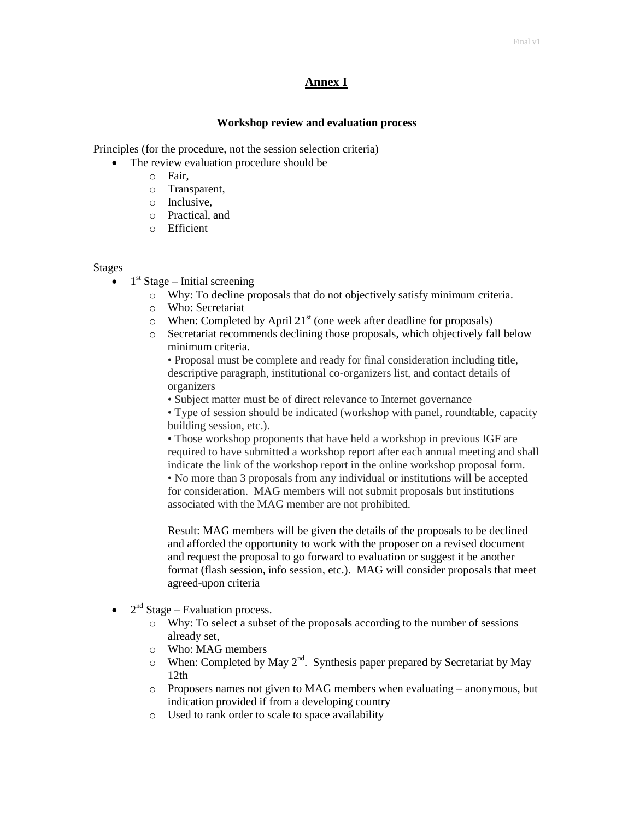## **Annex I**

### **Workshop review and evaluation process**

Principles (for the procedure, not the session selection criteria)

- The review evaluation procedure should be
	- o Fair,
	- o Transparent,
	- o Inclusive,
	- o Practical, and
	- o Efficient

#### Stages

- $\bullet$  1<sup>st</sup> Stage Initial screening
	- o Why: To decline proposals that do not objectively satisfy minimum criteria.
	- o Who: Secretariat
	- $\circ$  When: Completed by April 21<sup>st</sup> (one week after deadline for proposals)
	- o Secretariat recommends declining those proposals, which objectively fall below minimum criteria.

• Proposal must be complete and ready for final consideration including title, descriptive paragraph, institutional co-organizers list, and contact details of organizers

• Subject matter must be of direct relevance to Internet governance

• Type of session should be indicated (workshop with panel, roundtable, capacity building session, etc.).

• Those workshop proponents that have held a workshop in previous IGF are required to have submitted a workshop report after each annual meeting and shall indicate the link of the workshop report in the online workshop proposal form. • No more than 3 proposals from any individual or institutions will be accepted for consideration. MAG members will not submit proposals but institutions associated with the MAG member are not prohibited.

Result: MAG members will be given the details of the proposals to be declined and afforded the opportunity to work with the proposer on a revised document and request the proposal to go forward to evaluation or suggest it be another format (flash session, info session, etc.). MAG will consider proposals that meet agreed-upon criteria

- $\bullet$  2<sup>nd</sup> Stage Evaluation process.
	- o Why: To select a subset of the proposals according to the number of sessions already set,
	- o Who: MAG members
	- $\circ$  When: Completed by May 2<sup>nd</sup>. Synthesis paper prepared by Secretariat by May 12th
	- o Proposers names not given to MAG members when evaluating anonymous, but indication provided if from a developing country
	- o Used to rank order to scale to space availability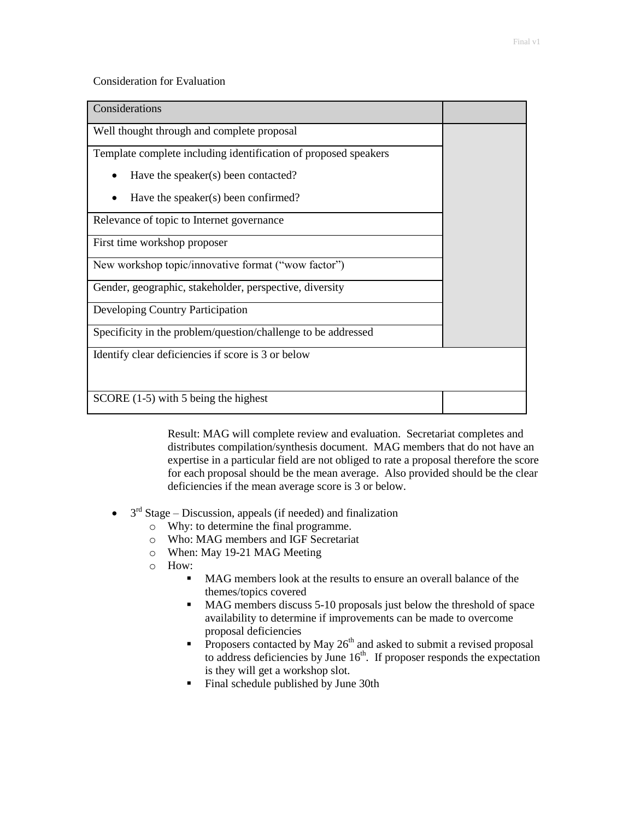## Consideration for Evaluation

| Considerations                                                  |  |
|-----------------------------------------------------------------|--|
| Well thought through and complete proposal                      |  |
| Template complete including identification of proposed speakers |  |
| Have the speaker(s) been contacted?                             |  |
| Have the speaker(s) been confirmed?                             |  |
| Relevance of topic to Internet governance                       |  |
| First time workshop proposer                                    |  |
| New workshop topic/innovative format ("wow factor")             |  |
| Gender, geographic, stakeholder, perspective, diversity         |  |
| Developing Country Participation                                |  |
| Specificity in the problem/question/challenge to be addressed   |  |
| Identify clear deficiencies if score is 3 or below              |  |
| SCORE (1-5) with 5 being the highest                            |  |

Result: MAG will complete review and evaluation. Secretariat completes and distributes compilation/synthesis document. MAG members that do not have an expertise in a particular field are not obliged to rate a proposal therefore the score for each proposal should be the mean average. Also provided should be the clear deficiencies if the mean average score is 3 or below.

- $\bullet$  3<sup>rd</sup> Stage Discussion, appeals (if needed) and finalization
	- o Why: to determine the final programme.
	- o Who: MAG members and IGF Secretariat
	- o When: May 19-21 MAG Meeting
	- o How:
		- MAG members look at the results to ensure an overall balance of the themes/topics covered
		- MAG members discuss 5-10 proposals just below the threshold of space availability to determine if improvements can be made to overcome proposal deficiencies
		- **Proposers contacted by May 26<sup>th</sup>** and asked to submit a revised proposal to address deficiencies by June  $16<sup>th</sup>$ . If proposer responds the expectation is they will get a workshop slot.
		- **Final schedule published by June 30th**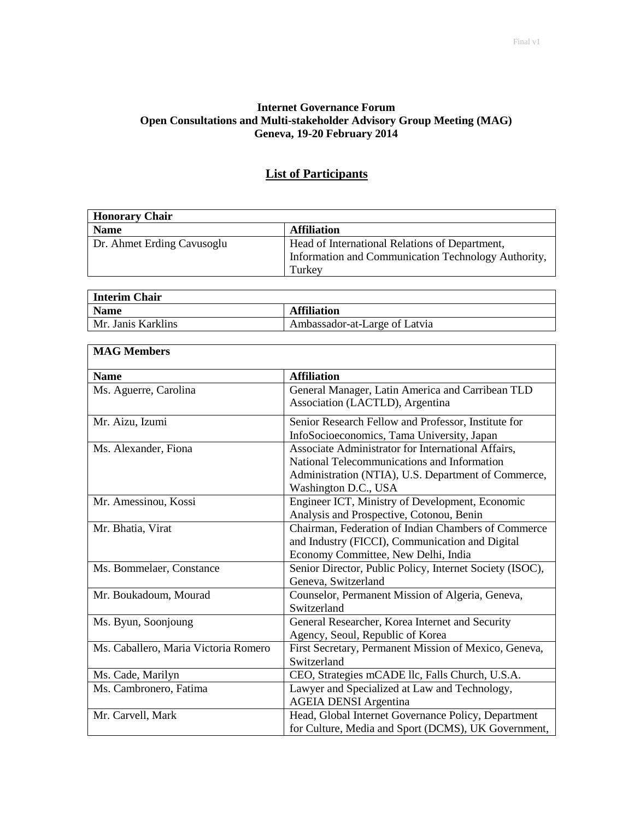# **Internet Governance Forum Open Consultations and Multi-stakeholder Advisory Group Meeting (MAG) Geneva, 19-20 February 2014**

| <b>Honorary Chair</b>      |                                                                                                       |
|----------------------------|-------------------------------------------------------------------------------------------------------|
| <b>Name</b>                | <b>Affiliation</b>                                                                                    |
| Dr. Ahmet Erding Cavusoglu | Head of International Relations of Department,<br>Information and Communication Technology Authority, |
|                            | Turkey                                                                                                |

# **List of Participants**

| <b>Interim Chair</b> |                               |
|----------------------|-------------------------------|
| <b>Name</b>          | <b>Affiliation</b>            |
| Mr. Janis Karklins   | Ambassador-at-Large of Latvia |
|                      |                               |

r

| <b>MAG Members</b>                   |                                                          |
|--------------------------------------|----------------------------------------------------------|
| <b>Name</b>                          | <b>Affiliation</b>                                       |
| Ms. Aguerre, Carolina                | General Manager, Latin America and Carribean TLD         |
|                                      | Association (LACTLD), Argentina                          |
| Mr. Aizu, Izumi                      | Senior Research Fellow and Professor, Institute for      |
|                                      | InfoSocioeconomics, Tama University, Japan               |
| Ms. Alexander, Fiona                 | Associate Administrator for International Affairs,       |
|                                      | National Telecommunications and Information              |
|                                      | Administration (NTIA), U.S. Department of Commerce,      |
|                                      | Washington D.C., USA                                     |
| Mr. Amessinou, Kossi                 | Engineer ICT, Ministry of Development, Economic          |
|                                      | Analysis and Prospective, Cotonou, Benin                 |
| Mr. Bhatia, Virat                    | Chairman, Federation of Indian Chambers of Commerce      |
|                                      | and Industry (FICCI), Communication and Digital          |
|                                      | Economy Committee, New Delhi, India                      |
| Ms. Bommelaer, Constance             | Senior Director, Public Policy, Internet Society (ISOC), |
|                                      | Geneva, Switzerland                                      |
| Mr. Boukadoum, Mourad                | Counselor, Permanent Mission of Algeria, Geneva,         |
|                                      | Switzerland                                              |
| Ms. Byun, Soonjoung                  | General Researcher, Korea Internet and Security          |
|                                      | Agency, Seoul, Republic of Korea                         |
| Ms. Caballero, Maria Victoria Romero | First Secretary, Permanent Mission of Mexico, Geneva,    |
|                                      | Switzerland                                              |
| Ms. Cade, Marilyn                    | CEO, Strategies mCADE llc, Falls Church, U.S.A.          |
| Ms. Cambronero, Fatima               | Lawyer and Specialized at Law and Technology,            |
|                                      | <b>AGEIA DENSI Argentina</b>                             |
| Mr. Carvell, Mark                    | Head, Global Internet Governance Policy, Department      |
|                                      | for Culture, Media and Sport (DCMS), UK Government,      |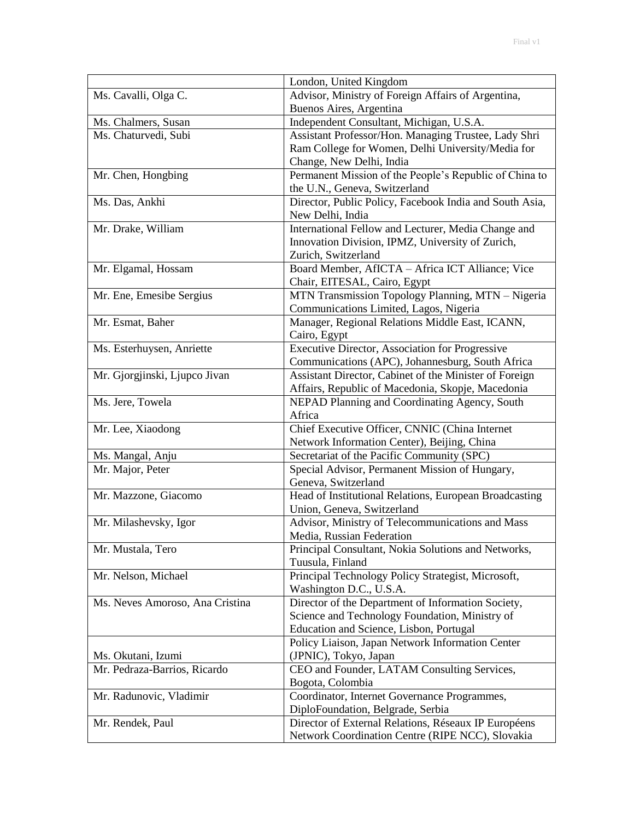|                                 | London, United Kingdom                                  |
|---------------------------------|---------------------------------------------------------|
| Ms. Cavalli, Olga C.            | Advisor, Ministry of Foreign Affairs of Argentina,      |
|                                 | Buenos Aires, Argentina                                 |
| Ms. Chalmers, Susan             | Independent Consultant, Michigan, U.S.A.                |
| Ms. Chaturvedi, Subi            | Assistant Professor/Hon. Managing Trustee, Lady Shri    |
|                                 | Ram College for Women, Delhi University/Media for       |
|                                 | Change, New Delhi, India                                |
| Mr. Chen, Hongbing              | Permanent Mission of the People's Republic of China to  |
|                                 | the U.N., Geneva, Switzerland                           |
| Ms. Das, Ankhi                  | Director, Public Policy, Facebook India and South Asia, |
|                                 | New Delhi, India                                        |
| Mr. Drake, William              | International Fellow and Lecturer, Media Change and     |
|                                 | Innovation Division, IPMZ, University of Zurich,        |
|                                 | Zurich, Switzerland                                     |
| Mr. Elgamal, Hossam             | Board Member, AfICTA - Africa ICT Alliance; Vice        |
|                                 | Chair, EITESAL, Cairo, Egypt                            |
| Mr. Ene, Emesibe Sergius        | MTN Transmission Topology Planning, MTN - Nigeria       |
|                                 | Communications Limited, Lagos, Nigeria                  |
| Mr. Esmat, Baher                | Manager, Regional Relations Middle East, ICANN,         |
|                                 | Cairo, Egypt                                            |
| Ms. Esterhuysen, Anriette       | Executive Director, Association for Progressive         |
|                                 | Communications (APC), Johannesburg, South Africa        |
| Mr. Gjorgjinski, Ljupco Jivan   | Assistant Director, Cabinet of the Minister of Foreign  |
|                                 | Affairs, Republic of Macedonia, Skopje, Macedonia       |
| Ms. Jere, Towela                | NEPAD Planning and Coordinating Agency, South           |
|                                 | Africa                                                  |
| Mr. Lee, Xiaodong               | Chief Executive Officer, CNNIC (China Internet          |
|                                 | Network Information Center), Beijing, China             |
| Ms. Mangal, Anju                | Secretariat of the Pacific Community (SPC)              |
| Mr. Major, Peter                | Special Advisor, Permanent Mission of Hungary,          |
|                                 |                                                         |
|                                 | Geneva, Switzerland                                     |
| Mr. Mazzone, Giacomo            | Head of Institutional Relations, European Broadcasting  |
|                                 | Union, Geneva, Switzerland                              |
| Mr. Milashevsky, Igor           | Advisor, Ministry of Telecommunications and Mass        |
|                                 | Media. Russian Federation                               |
| Mr. Mustala, Tero               | Principal Consultant, Nokia Solutions and Networks,     |
|                                 | Tuusula, Finland                                        |
| Mr. Nelson, Michael             | Principal Technology Policy Strategist, Microsoft,      |
|                                 | Washington D.C., U.S.A.                                 |
| Ms. Neves Amoroso, Ana Cristina | Director of the Department of Information Society,      |
|                                 | Science and Technology Foundation, Ministry of          |
|                                 | Education and Science, Lisbon, Portugal                 |
|                                 | Policy Liaison, Japan Network Information Center        |
| Ms. Okutani, Izumi              | (JPNIC), Tokyo, Japan                                   |
| Mr. Pedraza-Barrios, Ricardo    | CEO and Founder, LATAM Consulting Services,             |
|                                 | Bogota, Colombia                                        |
| Mr. Radunovic, Vladimir         | Coordinator, Internet Governance Programmes,            |
|                                 | DiploFoundation, Belgrade, Serbia                       |
| Mr. Rendek, Paul                | Director of External Relations, Réseaux IP Européens    |
|                                 | Network Coordination Centre (RIPE NCC), Slovakia        |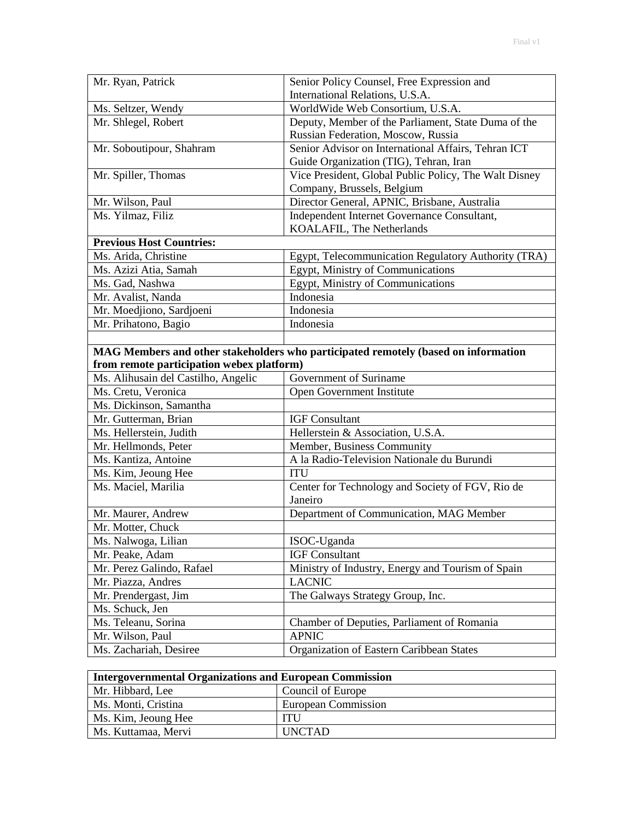| Mr. Ryan, Patrick                         | Senior Policy Counsel, Free Expression and                                         |
|-------------------------------------------|------------------------------------------------------------------------------------|
|                                           | International Relations, U.S.A.                                                    |
| Ms. Seltzer, Wendy                        | WorldWide Web Consortium, U.S.A.                                                   |
| Mr. Shlegel, Robert                       | Deputy, Member of the Parliament, State Duma of the                                |
|                                           | Russian Federation, Moscow, Russia                                                 |
| Mr. Soboutipour, Shahram                  | Senior Advisor on International Affairs, Tehran ICT                                |
|                                           | Guide Organization (TIG), Tehran, Iran                                             |
| Mr. Spiller, Thomas                       | Vice President, Global Public Policy, The Walt Disney                              |
|                                           | Company, Brussels, Belgium                                                         |
| Mr. Wilson, Paul                          | Director General, APNIC, Brisbane, Australia                                       |
| Ms. Yilmaz, Filiz                         | Independent Internet Governance Consultant,                                        |
|                                           | KOALAFIL, The Netherlands                                                          |
| <b>Previous Host Countries:</b>           |                                                                                    |
| Ms. Arida, Christine                      | Egypt, Telecommunication Regulatory Authority (TRA)                                |
| Ms. Azizi Atia, Samah                     | Egypt, Ministry of Communications                                                  |
| Ms. Gad, Nashwa                           | Egypt, Ministry of Communications                                                  |
| Mr. Avalist, Nanda                        | Indonesia                                                                          |
| Mr. Moedjiono, Sardjoeni                  | Indonesia                                                                          |
| Mr. Prihatono, Bagio                      | Indonesia                                                                          |
|                                           |                                                                                    |
|                                           | MAG Members and other stakeholders who participated remotely (based on information |
| from remote participation webex platform) |                                                                                    |
| Ms. Alihusain del Castilho, Angelic       | Government of Suriname                                                             |
| Ms. Cretu, Veronica                       | Open Government Institute                                                          |
| Ms. Dickinson, Samantha                   |                                                                                    |
| Mr. Gutterman, Brian                      | <b>IGF Consultant</b>                                                              |
| Ms. Hellerstein, Judith                   | Hellerstein & Association, U.S.A.                                                  |
| Mr. Hellmonds, Peter                      | Member, Business Community                                                         |
| Ms. Kantiza, Antoine                      |                                                                                    |
|                                           | A la Radio-Television Nationale du Burundi                                         |
| Ms. Kim, Jeoung Hee                       | <b>ITU</b>                                                                         |
| Ms. Maciel, Marilia                       | Center for Technology and Society of FGV, Rio de                                   |
|                                           | Janeiro                                                                            |
| Mr. Maurer, Andrew                        | Department of Communication, MAG Member                                            |
| Mr. Motter, Chuck                         |                                                                                    |
| Ms. Nalwoga, Lilian                       | ISOC-Uganda                                                                        |
| Mr. Peake, Adam                           | <b>IGF Consultant</b>                                                              |
| Mr. Perez Galindo, Rafael                 | Ministry of Industry, Energy and Tourism of Spain                                  |
| Mr. Piazza, Andres                        | <b>LACNIC</b>                                                                      |
| Mr. Prendergast, Jim                      | The Galways Strategy Group, Inc.                                                   |
| Ms. Schuck, Jen                           |                                                                                    |
| Ms. Teleanu, Sorina                       | Chamber of Deputies, Parliament of Romania                                         |
| Mr. Wilson, Paul                          | <b>APNIC</b>                                                                       |

| <b>Intergovernmental Organizations and European Commission</b> |                     |
|----------------------------------------------------------------|---------------------|
| Mr. Hibbard, Lee                                               | Council of Europe   |
| Ms. Monti, Cristina                                            | European Commission |
| Ms. Kim, Jeoung Hee                                            | <b>ITU</b>          |
| Ms. Kuttamaa, Mervi                                            | <b>UNCTAD</b>       |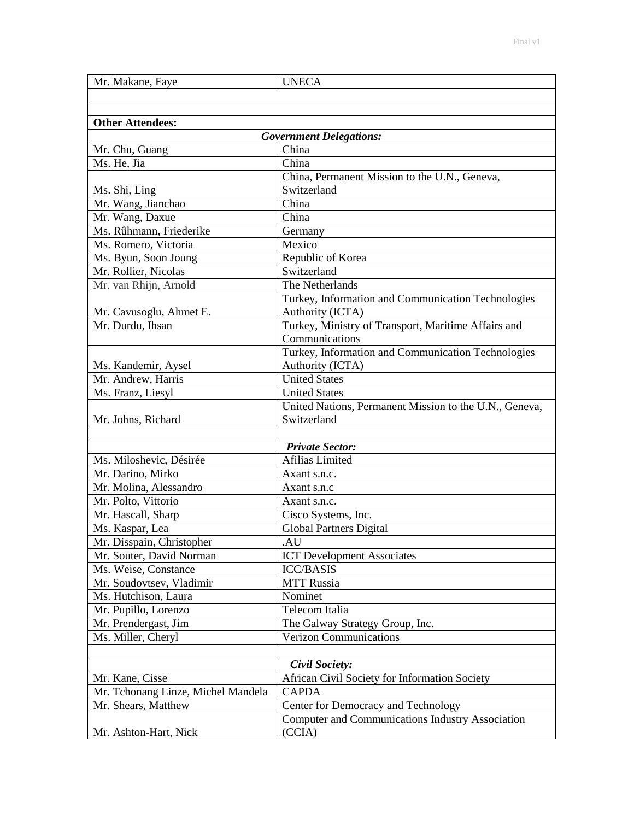| Mr. Makane, Faye                              | <b>UNECA</b>                                                            |
|-----------------------------------------------|-------------------------------------------------------------------------|
|                                               |                                                                         |
|                                               |                                                                         |
| <b>Other Attendees:</b>                       |                                                                         |
|                                               | <b>Government Delegations:</b>                                          |
| Mr. Chu, Guang                                | China                                                                   |
| Ms. He, Jia                                   | China                                                                   |
|                                               | China, Permanent Mission to the U.N., Geneva,                           |
| Ms. Shi, Ling                                 | Switzerland                                                             |
| Mr. Wang, Jianchao                            | China                                                                   |
| Mr. Wang, Daxue                               | China                                                                   |
| Ms. Rûhmann, Friederike                       | Germany                                                                 |
| Ms. Romero, Victoria                          | Mexico                                                                  |
| Ms. Byun, Soon Joung                          | Republic of Korea                                                       |
| Mr. Rollier, Nicolas<br>Mr. van Rhijn, Arnold | Switzerland<br>The Netherlands                                          |
|                                               |                                                                         |
|                                               | Turkey, Information and Communication Technologies                      |
| Mr. Cavusoglu, Ahmet E.<br>Mr. Durdu, Ihsan   | Authority (ICTA)<br>Turkey, Ministry of Transport, Maritime Affairs and |
|                                               | Communications                                                          |
|                                               | Turkey, Information and Communication Technologies                      |
| Ms. Kandemir, Aysel                           | Authority (ICTA)                                                        |
| Mr. Andrew, Harris                            | <b>United States</b>                                                    |
| Ms. Franz, Liesyl                             | <b>United States</b>                                                    |
|                                               | United Nations, Permanent Mission to the U.N., Geneva,                  |
| Mr. Johns, Richard                            | Switzerland                                                             |
|                                               |                                                                         |
|                                               | <b>Private Sector:</b>                                                  |
| Ms. Miloshevic, Désirée                       | Afilias Limited                                                         |
| Mr. Darino, Mirko                             | Axant s.n.c.                                                            |
| Mr. Molina, Alessandro                        | Axant s.n.c                                                             |
| Mr. Polto, Vittorio                           | Axant s.n.c.                                                            |
| Mr. Hascall, Sharp                            | Cisco Systems, Inc.                                                     |
| Ms. Kaspar, Lea                               | <b>Global Partners Digital</b>                                          |
| Mr. Disspain, Christopher                     | AU.                                                                     |
| Mr. Souter, David Norman                      | <b>ICT Development Associates</b>                                       |
| Ms. Weise, Constance                          | <b>ICC/BASIS</b>                                                        |
| Mr. Soudovtsev, Vladimir                      | <b>MTT Russia</b>                                                       |
| Ms. Hutchison, Laura                          | Nominet                                                                 |
| Mr. Pupillo, Lorenzo                          | Telecom Italia                                                          |
| Mr. Prendergast, Jim                          | The Galway Strategy Group, Inc.                                         |
| Ms. Miller, Cheryl                            | <b>Verizon Communications</b>                                           |
|                                               |                                                                         |
|                                               | Civil Society:                                                          |
| Mr. Kane, Cisse                               | African Civil Society for Information Society                           |
| Mr. Tchonang Linze, Michel Mandela            | <b>CAPDA</b>                                                            |
| Mr. Shears, Matthew                           | Center for Democracy and Technology                                     |
|                                               | Computer and Communications Industry Association                        |
| Mr. Ashton-Hart, Nick                         | (CCIA)                                                                  |